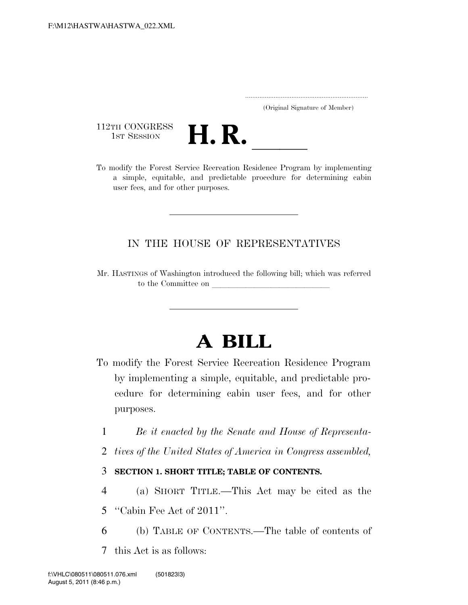..................................................................... (Original Signature of Member)

112TH CONGRESS<br>1st Session



112TH CONGRESS<br>1st Session **H. R.** <u>Indice Recreation Residence Program by implementing</u> a simple, equitable, and predictable procedure for determining cabin user fees, and for other purposes.

# IN THE HOUSE OF REPRESENTATIVES

Mr. HASTINGS of Washington introduced the following bill; which was referred to the Committee on

# **A BILL**

- To modify the Forest Service Recreation Residence Program by implementing a simple, equitable, and predictable procedure for determining cabin user fees, and for other purposes.
	- 1 *Be it enacted by the Senate and House of Representa-*
	- 2 *tives of the United States of America in Congress assembled,*

## 3 **SECTION 1. SHORT TITLE; TABLE OF CONTENTS.**

- 4 (a) SHORT TITLE.—This Act may be cited as the 5 ''Cabin Fee Act of 2011''.
- 6 (b) TABLE OF CONTENTS.—The table of contents of
- 7 this Act is as follows: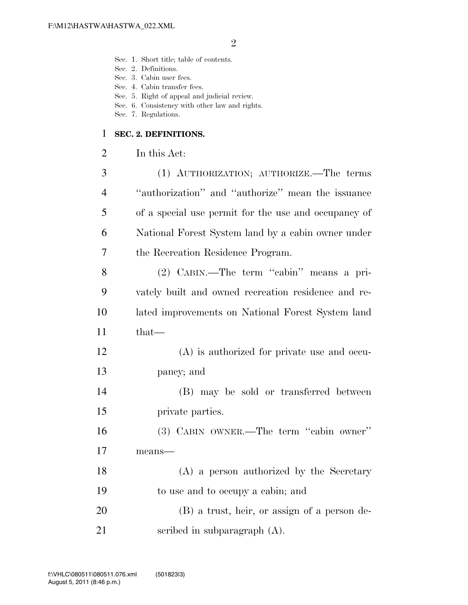- Sec. 1. Short title; table of contents.
- Sec. 2. Definitions.
- Sec. 3. Cabin user fees.
- Sec. 4. Cabin transfer fees.
- Sec. 5. Right of appeal and judicial review.
- Sec. 6. Consistency with other law and rights.
- Sec. 7. Regulations.

#### **SEC. 2. DEFINITIONS.**

In this Act:

| 3              | (1) AUTHORIZATION; AUTHORIZE. The terms              |
|----------------|------------------------------------------------------|
| $\overline{4}$ | "authorization" and "authorize" mean the issuance    |
| 5              | of a special use permit for the use and occupancy of |
| 6              | National Forest System land by a cabin owner under   |
| 7              | the Recreation Residence Program.                    |
| 8              | (2) CABIN.—The term "cabin" means a pri-             |
| 9              | vately built and owned recreation residence and re-  |
| 10             | lated improvements on National Forest System land    |
| 11             | $that-$                                              |
| 12             | $(A)$ is authorized for private use and occu-        |
| 13             | pancy; and                                           |
| 14             | (B) may be sold or transferred between               |
| 15             | private parties.                                     |
| 16             | (3) CABIN OWNER.—The term "cabin owner"              |
| 17             | means-                                               |
| 18             | (A) a person authorized by the Secretary             |
| 19             | to use and to occupy a cabin; and                    |

 (B) a trust, heir, or assign of a person de-scribed in subparagraph (A).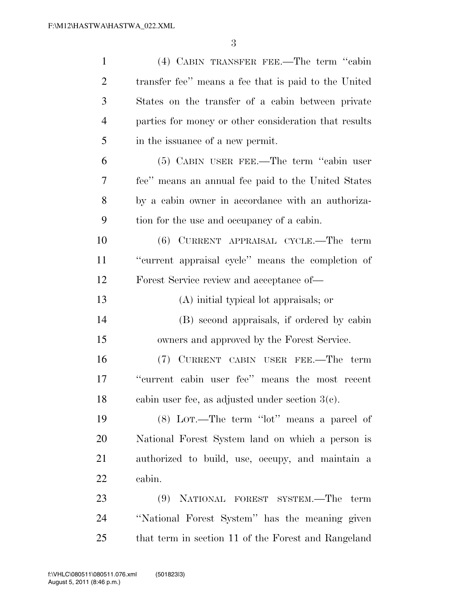| 1              | (4) CABIN TRANSFER FEE.—The term "cabin               |
|----------------|-------------------------------------------------------|
| $\overline{2}$ | transfer fee" means a fee that is paid to the United  |
| 3              | States on the transfer of a cabin between private     |
| $\overline{4}$ | parties for money or other consideration that results |
| 5              | in the issuance of a new permit.                      |
| 6              | (5) CABIN USER FEE.—The term "cabin user              |
| $\overline{7}$ | fee" means an annual fee paid to the United States    |
| 8              | by a cabin owner in accordance with an authoriza-     |
| 9              | tion for the use and occupancy of a cabin.            |
| 10             | (6) CURRENT APPRAISAL CYCLE.—The term                 |
| 11             | "current appraisal cycle" means the completion of     |
| 12             | Forest Service review and acceptance of—              |
| 13             | (A) initial typical lot appraisals; or                |
| 14             | (B) second appraisals, if ordered by cabin            |
| 15             | owners and approved by the Forest Service.            |
| 16             | (7) CURRENT CABIN USER FEE.—The term                  |
| 17             | "current cabin user fee" means the most recent        |
| 18             | cabin user fee, as adjusted under section $3(e)$ .    |
| 19             | $(8)$ LOT.—The term "lot" means a parcel of           |
| 20             | National Forest System land on which a person is      |
| 21             | authorized to build, use, occupy, and maintain a      |
| 22             | cabin.                                                |
| 23             | (9) NATIONAL FOREST SYSTEM.—The term                  |
| 24             | "National Forest System" has the meaning given        |
| 25             | that term in section 11 of the Forest and Rangeland   |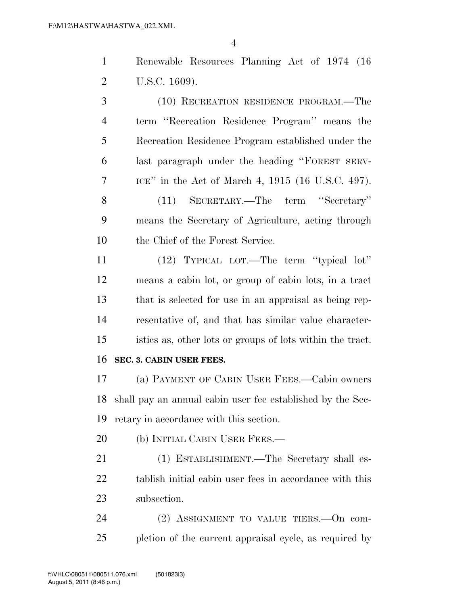|                | $\overline{4}$                                            |
|----------------|-----------------------------------------------------------|
| $\mathbf{1}$   | Renewable Resources Planning Act of 1974 (16)             |
| $\overline{2}$ | U.S.C. 1609).                                             |
| 3              | (10) RECREATION RESIDENCE PROGRAM.—The                    |
| $\overline{4}$ | term "Recreation Residence Program" means the             |
| 5              | Recreation Residence Program established under the        |
| 6              | last paragraph under the heading "FOREST SERV-            |
| 7              | ICE" in the Act of March 4, 1915 (16 U.S.C. 497).         |
| 8              | SECRETARY.—The term "Secretary"<br>(11)                   |
| 9              | means the Secretary of Agriculture, acting through        |
| 10             | the Chief of the Forest Service.                          |
| 11             | (12) TYPICAL LOT.—The term "typical lot"                  |
| 12             | means a cabin lot, or group of cabin lots, in a tract     |
| 13             | that is selected for use in an appraisal as being rep-    |
| 14             | resentative of, and that has similar value character-     |
| 15             | istics as, other lots or groups of lots within the tract. |

**SEC. 3. CABIN USER FEES.** 

 (a) PAYMENT OF CABIN USER FEES.—Cabin owners shall pay an annual cabin user fee established by the Sec-retary in accordance with this section.

20 (b) INITIAL CABIN USER FEES.—

 (1) ESTABLISHMENT.—The Secretary shall es- tablish initial cabin user fees in accordance with this subsection.

 (2) ASSIGNMENT TO VALUE TIERS.—On com-pletion of the current appraisal cycle, as required by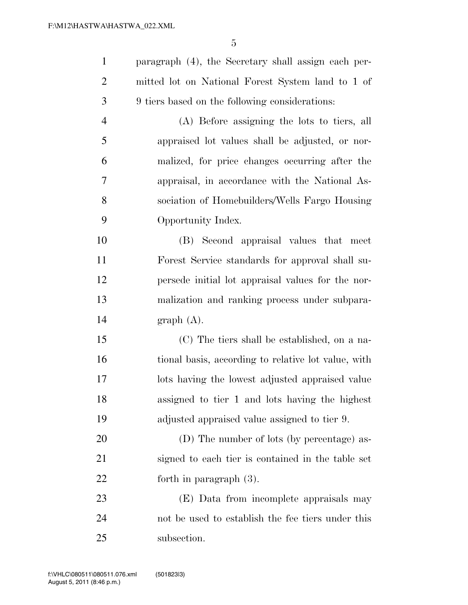paragraph (4), the Secretary shall assign each per- mitted lot on National Forest System land to 1 of 9 tiers based on the following considerations: (A) Before assigning the lots to tiers, all appraised lot values shall be adjusted, or nor-

 malized, for price changes occurring after the appraisal, in accordance with the National As- sociation of Homebuilders/Wells Fargo Housing Opportunity Index.

 (B) Second appraisal values that meet Forest Service standards for approval shall su- persede initial lot appraisal values for the nor- malization and ranking process under subpara-graph (A).

 (C) The tiers shall be established, on a na- tional basis, according to relative lot value, with lots having the lowest adjusted appraised value assigned to tier 1 and lots having the highest adjusted appraised value assigned to tier 9.

 (D) The number of lots (by percentage) as- signed to each tier is contained in the table set forth in paragraph (3).

 (E) Data from incomplete appraisals may not be used to establish the fee tiers under this subsection.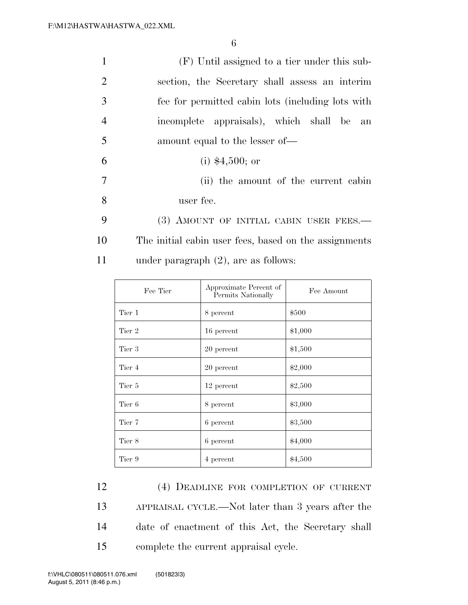| $\mathbf{1}$   | (F) Until assigned to a tier under this sub-          |
|----------------|-------------------------------------------------------|
| 2              | section, the Secretary shall assess an interim        |
| 3              | fee for permitted cabin lots (including lots with     |
| $\overline{4}$ | incomplete appraisals), which shall be an             |
| 5              | amount equal to the lesser of—                        |
| 6              | $(i)$ \$4,500; or                                     |
| $\overline{7}$ | (ii) the amount of the current cabin                  |
| 8              | user fee.                                             |
| 9              | (3) AMOUNT OF INITIAL CABIN USER FEES.-               |
| 10             | The initial cabin user fees, based on the assignments |
| 11             | under paragraph $(2)$ , are as follows:               |

| Fee Tier | Approximate Percent of<br>Permits Nationally | Fee Amount |
|----------|----------------------------------------------|------------|
| Tier 1   | 8 percent                                    | \$500      |
| Tier 2   | 16 percent                                   | \$1,000    |
| Tier 3   | 20 percent                                   | \$1,500    |
| Tier 4   | 20 percent                                   | \$2,000    |
| Tier 5   | 12 percent                                   | \$2,500    |
| Tier 6   | 8 percent                                    | \$3,000    |
| Tier 7   | 6 percent                                    | \$3,500    |
| Tier 8   | 6 percent                                    | \$4,000    |
| Tier 9   | 4 percent                                    | \$4,500    |

 (4) DEADLINE FOR COMPLETION OF CURRENT APPRAISAL CYCLE.—Not later than 3 years after the date of enactment of this Act, the Secretary shall complete the current appraisal cycle.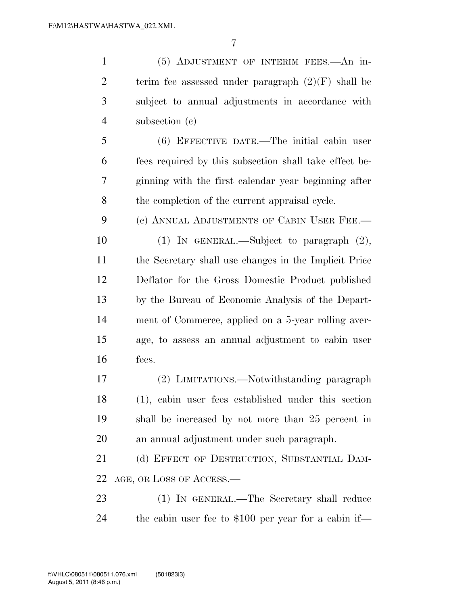(5) ADJUSTMENT OF INTERIM FEES.—An in-2 terim fee assessed under paragraph  $(2)(F)$  shall be subject to annual adjustments in accordance with subsection (c) (6) EFFECTIVE DATE.—The initial cabin user fees required by this subsection shall take effect be- ginning with the first calendar year beginning after the completion of the current appraisal cycle. (c) ANNUAL ADJUSTMENTS OF CABIN USER FEE.— (1) IN GENERAL.—Subject to paragraph (2), the Secretary shall use changes in the Implicit Price Deflator for the Gross Domestic Product published by the Bureau of Economic Analysis of the Depart- ment of Commerce, applied on a 5-year rolling aver- age, to assess an annual adjustment to cabin user fees. (2) LIMITATIONS.—Notwithstanding paragraph (1), cabin user fees established under this section shall be increased by not more than 25 percent in an annual adjustment under such paragraph. (d) EFFECT OF DESTRUCTION, SUBSTANTIAL DAM- AGE, OR LOSS OF ACCESS.— (1) IN GENERAL.—The Secretary shall reduce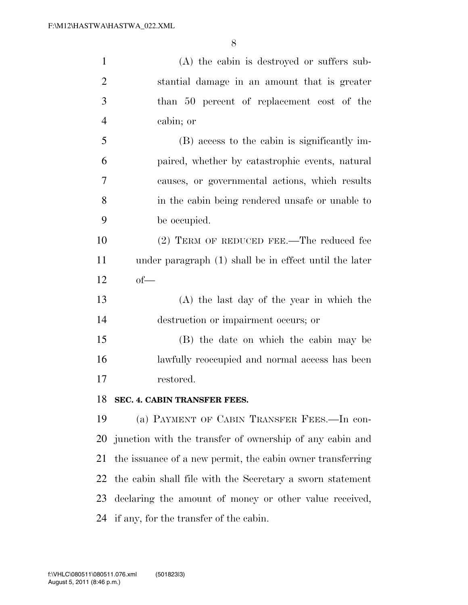| $\mathbf{1}$   | (A) the cabin is destroyed or suffers sub-                 |
|----------------|------------------------------------------------------------|
| $\overline{2}$ | stantial damage in an amount that is greater               |
| 3              | than 50 percent of replacement cost of the                 |
| $\overline{4}$ | cabin; or                                                  |
| 5              | (B) access to the cabin is significantly im-               |
| 6              | paired, whether by catastrophic events, natural            |
| 7              | causes, or governmental actions, which results             |
| 8              | in the cabin being rendered unsafe or unable to            |
| 9              | be occupied.                                               |
| 10             | (2) TERM OF REDUCED FEE.—The reduced fee                   |
| 11             | under paragraph (1) shall be in effect until the later     |
| 12             | $of$ —                                                     |
| 13             | (A) the last day of the year in which the                  |
| 14             | destruction or impairment occurs; or                       |
| 15             | (B) the date on which the cabin may be                     |
| 16             | lawfully reoccupied and normal access has been             |
| 17             | restored.                                                  |
| 18             | SEC. 4. CABIN TRANSFER FEES.                               |
| 19             | (a) PAYMENT OF CABIN TRANSFER FEES.—In con-                |
| 20             | junction with the transfer of ownership of any cabin and   |
| 21             | the issuance of a new permit, the cabin owner transferring |
| 22             | the cabin shall file with the Secretary a sworn statement  |
| 23             | declaring the amount of money or other value received,     |
| 24             |                                                            |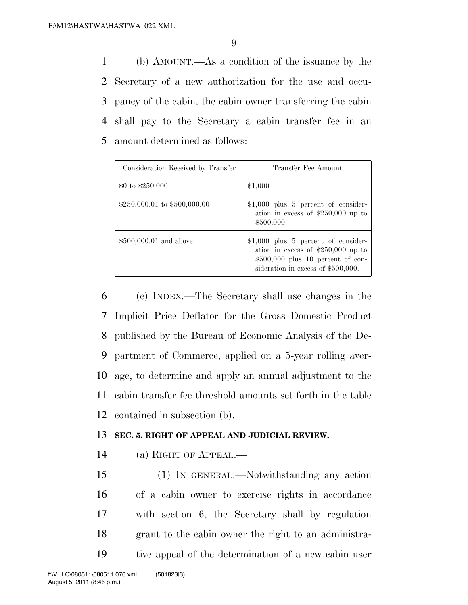(b) AMOUNT.—As a condition of the issuance by the Secretary of a new authorization for the use and occu- pancy of the cabin, the cabin owner transferring the cabin shall pay to the Secretary a cabin transfer fee in an amount determined as follows:

| Consideration Received by Transfer | Transfer Fee Amount                                                                                                                                     |
|------------------------------------|---------------------------------------------------------------------------------------------------------------------------------------------------------|
| \$0 to \$250,000                   | \$1,000                                                                                                                                                 |
| $$250,000.01$ to $$500,000.00$     | $$1,000$ plus 5 percent of consider-<br>ation in excess of $$250,000$ up to<br>\$500,000                                                                |
| $$500,000.01$ and above            | $$1,000$ plus 5 percent of consider-<br>ation in excess of $$250,000$ up to<br>$$500,000$ plus 10 percent of con-<br>sideration in excess of \$500,000. |

 (c) INDEX.—The Secretary shall use changes in the Implicit Price Deflator for the Gross Domestic Product published by the Bureau of Economic Analysis of the De- partment of Commerce, applied on a 5-year rolling aver- age, to determine and apply an annual adjustment to the cabin transfer fee threshold amounts set forth in the table contained in subsection (b).

## **SEC. 5. RIGHT OF APPEAL AND JUDICIAL REVIEW.**

(a) RIGHT OF APPEAL.—

 (1) IN GENERAL.—Notwithstanding any action of a cabin owner to exercise rights in accordance with section 6, the Secretary shall by regulation grant to the cabin owner the right to an administra-tive appeal of the determination of a new cabin user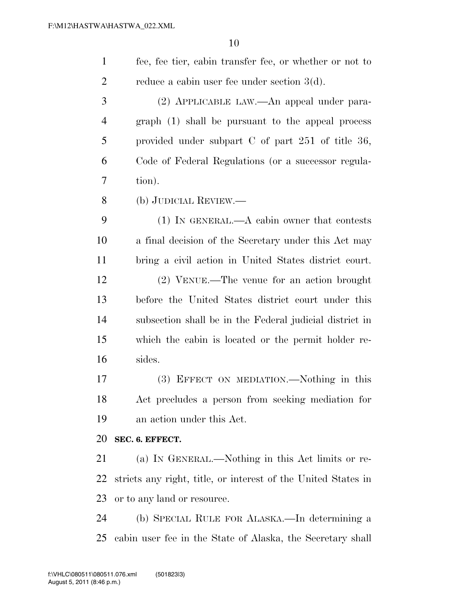| $\mathbf{1}$   | fee, fee tier, cabin transfer fee, or whether or not to       |
|----------------|---------------------------------------------------------------|
| $\overline{2}$ | reduce a cabin user fee under section $3(d)$ .                |
| 3              | (2) APPLICABLE LAW.—An appeal under para-                     |
| $\overline{4}$ | graph (1) shall be pursuant to the appeal process             |
| 5              | provided under subpart $C$ of part 251 of title 36,           |
| 6              | Code of Federal Regulations (or a successor regula-           |
| 7              | tion).                                                        |
| 8              | (b) JUDICIAL REVIEW.—                                         |
| 9              | $(1)$ IN GENERAL.—A cabin owner that contests                 |
| 10             | a final decision of the Secretary under this Act may          |
| 11             | bring a civil action in United States district court.         |
| 12             | $(2)$ VENUE.—The venue for an action brought                  |
| 13             | before the United States district court under this            |
| 14             | subsection shall be in the Federal judicial district in       |
| 15             | which the cabin is located or the permit holder re-           |
| 16             | sides.                                                        |
| 17             | (3) EFFECT ON MEDIATION.—Nothing in this                      |
| 18             | Act precludes a person from seeking mediation for             |
| 19             | an action under this Act.                                     |
| 20             | SEC. 6. EFFECT.                                               |
| 21             | (a) IN GENERAL.—Nothing in this Act limits or re-             |
| 22             | stricts any right, title, or interest of the United States in |
| 23             | or to any land or resource.                                   |
| 24             | (b) SPECIAL RULE FOR ALASKA.—In determining a                 |
| 25             | cabin user fee in the State of Alaska, the Secretary shall    |